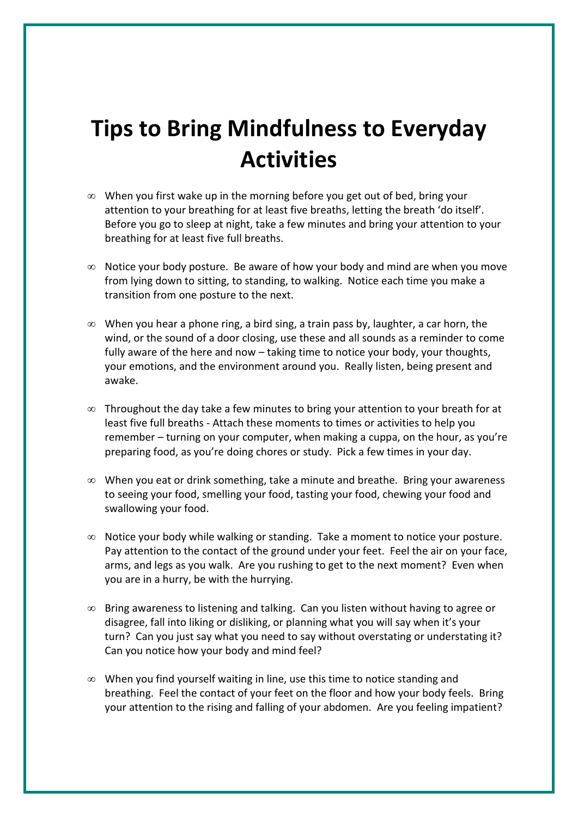## **Tips to Bring Mindfulness to Everyday Activities**

- ∞ When you first wake up in the morning before you get out of bed, bring your attention to your breathing for at least five breaths, letting the breath 'do itself'. Before you go to sleep at night, take a few minutes and bring your attention to your breathing for at least five full breaths.
- ∞ Notice your body posture. Be aware of how your body and mind are when you move from lying down to sitting, to standing, to walking. Notice each time you make a transition from one posture to the next.
- $\infty$  When you hear a phone ring, a bird sing, a train pass by, laughter, a car horn, the wind, or the sound of a door closing, use these and all sounds as a reminder to come fully aware of the here and now – taking time to notice your body, your thoughts, your emotions, and the environment around you. Really listen, being present and awake.
- ∞ Throughout the day take a few minutes to bring your attention to your breath for at least five full breaths - Attach these moments to times or activities to help you remember – turning on your computer, when making a cuppa, on the hour, as you're preparing food, as you're doing chores or study. Pick a few times in your day.
- ∞ When you eat or drink something, take a minute and breathe. Bring your awareness to seeing your food, smelling your food, tasting your food, chewing your food and swallowing your food.
- ∞ Notice your body while walking or standing. Take a moment to notice your posture. Pay attention to the contact of the ground under your feet. Feel the air on your face, arms, and legs as you walk. Are you rushing to get to the next moment? Even when you are in a hurry, be with the hurrying.
- ∞ Bring awareness to listening and talking. Can you listen without having to agree or disagree, fall into liking or disliking, or planning what you will say when it's your turn? Can you just say what you need to say without overstating or understating it? Can you notice how your body and mind feel?
- ∞ When you find yourself waiting in line, use this time to notice standing and breathing. Feel the contact of your feet on the floor and how your body feels. Bring your attention to the rising and falling of your abdomen. Are you feeling impatient?